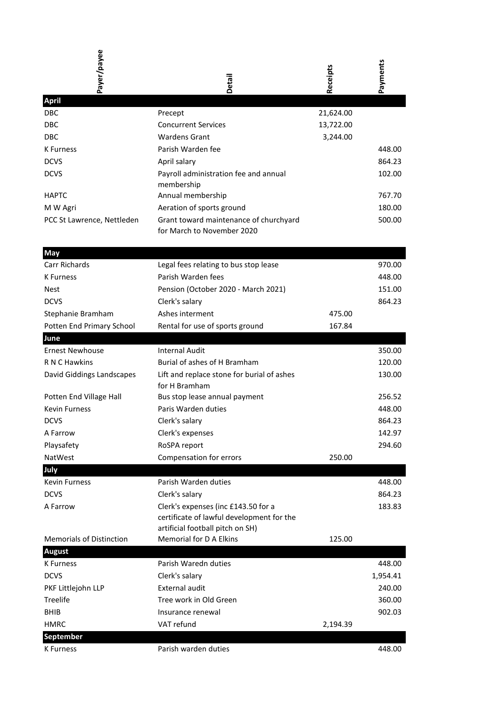| Payer/payee                     | Detail                                     | Receipts  | Payments |
|---------------------------------|--------------------------------------------|-----------|----------|
| <b>April</b>                    |                                            |           |          |
| <b>DBC</b>                      | Precept                                    | 21,624.00 |          |
| <b>DBC</b>                      | <b>Concurrent Services</b>                 | 13,722.00 |          |
| <b>DBC</b>                      | <b>Wardens Grant</b>                       | 3,244.00  |          |
| <b>K</b> Furness                | Parish Warden fee                          |           | 448.00   |
| <b>DCVS</b>                     | April salary                               |           | 864.23   |
| <b>DCVS</b>                     | Payroll administration fee and annual      |           | 102.00   |
|                                 | membership                                 |           |          |
| <b>HAPTC</b>                    | Annual membership                          |           | 767.70   |
| M W Agri                        | Aeration of sports ground                  |           | 180.00   |
| PCC St Lawrence, Nettleden      | Grant toward maintenance of churchyard     |           | 500.00   |
|                                 | for March to November 2020                 |           |          |
| <b>May</b>                      |                                            |           |          |
| Carr Richards                   | Legal fees relating to bus stop lease      |           | 970.00   |
| K Furness                       | Parish Warden fees                         |           | 448.00   |
| <b>Nest</b>                     | Pension (October 2020 - March 2021)        |           | 151.00   |
| <b>DCVS</b>                     | Clerk's salary                             |           | 864.23   |
| Stephanie Bramham               | Ashes interment                            | 475.00    |          |
| Potten End Primary School       | Rental for use of sports ground            | 167.84    |          |
| June                            |                                            |           |          |
| <b>Ernest Newhouse</b>          | <b>Internal Audit</b>                      |           | 350.00   |
| R N C Hawkins                   | Burial of ashes of H Bramham               |           | 120.00   |
| David Giddings Landscapes       | Lift and replace stone for burial of ashes |           | 130.00   |
|                                 | for H Bramham                              |           |          |
| Potten End Village Hall         | Bus stop lease annual payment              |           | 256.52   |
| <b>Kevin Furness</b>            | Paris Warden duties                        |           | 448.00   |
| <b>DCVS</b>                     | Clerk's salary                             |           | 864.23   |
| A Farrow                        | Clerk's expenses                           |           | 142.97   |
| Playsafety                      | RoSPA report                               |           | 294.60   |
| NatWest                         | Compensation for errors                    | 250.00    |          |
| July                            |                                            |           |          |
| <b>Kevin Furness</b>            | Parish Warden duties                       |           | 448.00   |
| <b>DCVS</b>                     | Clerk's salary                             |           | 864.23   |
| A Farrow                        | Clerk's expenses (inc £143.50 for a        |           | 183.83   |
|                                 | certificate of lawful development for the  |           |          |
|                                 | artificial football pitch on SH)           |           |          |
| <b>Memorials of Distinction</b> | Memorial for D A Elkins                    | 125.00    |          |
| <b>August</b>                   |                                            |           |          |
| K Furness                       | Parish Waredn duties                       |           | 448.00   |
| <b>DCVS</b>                     | Clerk's salary                             |           | 1,954.41 |
| PKF Littlejohn LLP              | <b>External audit</b>                      |           | 240.00   |
| Treelife                        | Tree work in Old Green                     |           | 360.00   |
| <b>BHIB</b>                     | Insurance renewal                          |           | 902.03   |
| <b>HMRC</b>                     | VAT refund                                 | 2,194.39  |          |
| <b>September</b>                |                                            |           |          |
| <b>K</b> Furness                | Parish warden duties                       |           | 448.00   |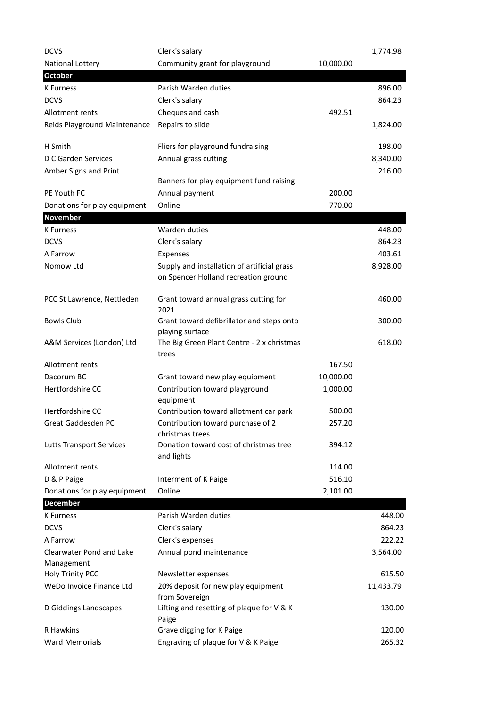| <b>DCVS</b>                     | Clerk's salary                                                                      |           | 1,774.98  |
|---------------------------------|-------------------------------------------------------------------------------------|-----------|-----------|
| National Lottery                | Community grant for playground                                                      | 10,000.00 |           |
| <b>October</b>                  |                                                                                     |           |           |
| <b>K</b> Furness                | Parish Warden duties                                                                |           | 896.00    |
| <b>DCVS</b>                     | Clerk's salary                                                                      |           | 864.23    |
| Allotment rents                 | Cheques and cash                                                                    | 492.51    |           |
| Reids Playground Maintenance    | Repairs to slide                                                                    |           | 1,824.00  |
| H Smith                         | Fliers for playground fundraising                                                   |           | 198.00    |
| D C Garden Services             | Annual grass cutting                                                                |           | 8,340.00  |
| Amber Signs and Print           |                                                                                     |           | 216.00    |
|                                 | Banners for play equipment fund raising                                             |           |           |
| PE Youth FC                     | Annual payment                                                                      | 200.00    |           |
| Donations for play equipment    | Online                                                                              | 770.00    |           |
| <b>November</b>                 | Warden duties                                                                       |           |           |
| <b>K</b> Furness<br><b>DCVS</b> |                                                                                     |           | 448.00    |
|                                 | Clerk's salary                                                                      |           | 864.23    |
| A Farrow<br>Nomow Ltd           | Expenses                                                                            |           | 403.61    |
|                                 | Supply and installation of artificial grass<br>on Spencer Holland recreation ground |           | 8,928.00  |
| PCC St Lawrence, Nettleden      | Grant toward annual grass cutting for<br>2021                                       |           | 460.00    |
| <b>Bowls Club</b>               | Grant toward defibrillator and steps onto<br>playing surface                        |           | 300.00    |
| A&M Services (London) Ltd       | The Big Green Plant Centre - 2 x christmas<br>trees                                 |           | 618.00    |
| Allotment rents                 |                                                                                     | 167.50    |           |
| Dacorum BC                      | Grant toward new play equipment                                                     | 10,000.00 |           |
| Hertfordshire CC                | Contribution toward playground                                                      | 1,000.00  |           |
|                                 | equipment                                                                           |           |           |
| Hertfordshire CC                | Contribution toward allotment car park                                              | 500.00    |           |
| Great Gaddesden PC              | Contribution toward purchase of 2                                                   | 257.20    |           |
| <b>Lutts Transport Services</b> | christmas trees<br>Donation toward cost of christmas tree                           | 394.12    |           |
| Allotment rents                 | and lights                                                                          | 114.00    |           |
| D & P Paige                     | Interment of K Paige                                                                | 516.10    |           |
| Donations for play equipment    | Online                                                                              | 2,101.00  |           |
| <b>December</b>                 |                                                                                     |           |           |
| <b>K</b> Furness                | Parish Warden duties                                                                |           | 448.00    |
| <b>DCVS</b>                     | Clerk's salary                                                                      |           | 864.23    |
| A Farrow                        | Clerk's expenses                                                                    |           | 222.22    |
| Clearwater Pond and Lake        | Annual pond maintenance                                                             |           | 3,564.00  |
| Management                      |                                                                                     |           |           |
| Holy Trinity PCC                | Newsletter expenses                                                                 |           | 615.50    |
| WeDo Invoice Finance Ltd        | 20% deposit for new play equipment<br>from Sovereign                                |           | 11,433.79 |
| D Giddings Landscapes           | Lifting and resetting of plaque for V & K<br>Paige                                  |           | 130.00    |
| R Hawkins                       | Grave digging for K Paige                                                           |           | 120.00    |
| <b>Ward Memorials</b>           | Engraving of plaque for V & K Paige                                                 |           | 265.32    |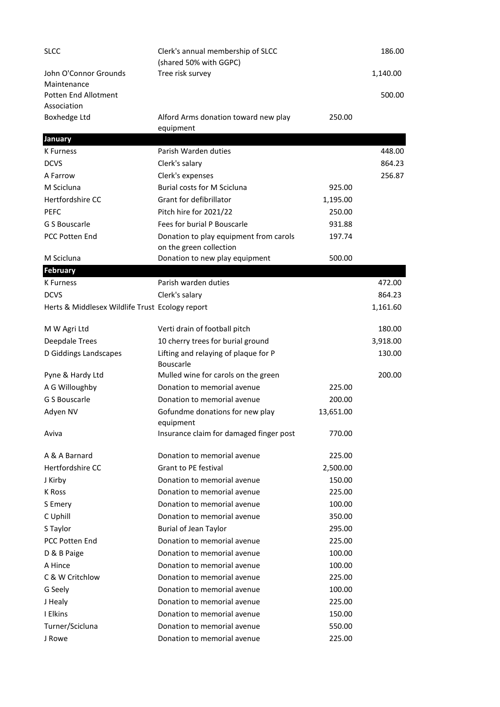| <b>SLCC</b>                                     | Clerk's annual membership of SLCC<br>(shared 50% with GGPC)       |           | 186.00   |
|-------------------------------------------------|-------------------------------------------------------------------|-----------|----------|
| John O'Connor Grounds<br>Maintenance            | Tree risk survey                                                  |           | 1,140.00 |
| <b>Potten End Allotment</b>                     |                                                                   |           | 500.00   |
| Association                                     |                                                                   |           |          |
| <b>Boxhedge Ltd</b>                             | Alford Arms donation toward new play                              | 250.00    |          |
|                                                 | equipment                                                         |           |          |
| January                                         |                                                                   |           |          |
| K Furness                                       | Parish Warden duties                                              |           | 448.00   |
| <b>DCVS</b>                                     | Clerk's salary                                                    |           | 864.23   |
| A Farrow                                        | Clerk's expenses                                                  |           | 256.87   |
| M Scicluna                                      | Burial costs for M Scicluna                                       | 925.00    |          |
| Hertfordshire CC                                | Grant for defibrillator                                           | 1,195.00  |          |
| <b>PEFC</b>                                     | Pitch hire for 2021/22                                            | 250.00    |          |
| G S Bouscarle                                   | Fees for burial P Bouscarle                                       | 931.88    |          |
| <b>PCC Potten End</b>                           | Donation to play equipment from carols<br>on the green collection | 197.74    |          |
| M Scicluna                                      | Donation to new play equipment                                    | 500.00    |          |
| <b>February</b>                                 |                                                                   |           |          |
| K Furness                                       | Parish warden duties                                              |           | 472.00   |
| <b>DCVS</b>                                     | Clerk's salary                                                    |           | 864.23   |
| Herts & Middlesex Wildlife Trust Ecology report |                                                                   |           | 1,161.60 |
| M W Agri Ltd                                    | Verti drain of football pitch                                     |           | 180.00   |
| <b>Deepdale Trees</b>                           | 10 cherry trees for burial ground                                 |           | 3,918.00 |
| D Giddings Landscapes                           | Lifting and relaying of plaque for P<br><b>Bouscarle</b>          |           | 130.00   |
| Pyne & Hardy Ltd                                | Mulled wine for carols on the green                               |           | 200.00   |
| A G Willoughby                                  | Donation to memorial avenue                                       | 225.00    |          |
| G S Bouscarle                                   | Donation to memorial avenue                                       | 200.00    |          |
| Adyen NV                                        | Gofundme donations for new play<br>equipment                      | 13,651.00 |          |
| Aviva                                           | Insurance claim for damaged finger post                           | 770.00    |          |
| A & A Barnard                                   | Donation to memorial avenue                                       | 225.00    |          |
| Hertfordshire CC                                | <b>Grant to PE festival</b>                                       | 2,500.00  |          |
| J Kirby                                         | Donation to memorial avenue                                       | 150.00    |          |
| K Ross                                          | Donation to memorial avenue                                       | 225.00    |          |
| S Emery                                         | Donation to memorial avenue                                       | 100.00    |          |
| C Uphill                                        | Donation to memorial avenue                                       | 350.00    |          |
| S Taylor                                        | <b>Burial of Jean Taylor</b>                                      | 295.00    |          |
| <b>PCC Potten End</b>                           | Donation to memorial avenue                                       | 225.00    |          |
| D & B Paige                                     | Donation to memorial avenue                                       | 100.00    |          |
| A Hince                                         | Donation to memorial avenue                                       | 100.00    |          |
| C & W Critchlow                                 | Donation to memorial avenue                                       | 225.00    |          |
| G Seely                                         | Donation to memorial avenue                                       | 100.00    |          |
| J Healy                                         | Donation to memorial avenue                                       | 225.00    |          |
| I Elkins                                        | Donation to memorial avenue                                       | 150.00    |          |
| Turner/Scicluna                                 | Donation to memorial avenue                                       | 550.00    |          |
| J Rowe                                          | Donation to memorial avenue                                       | 225.00    |          |